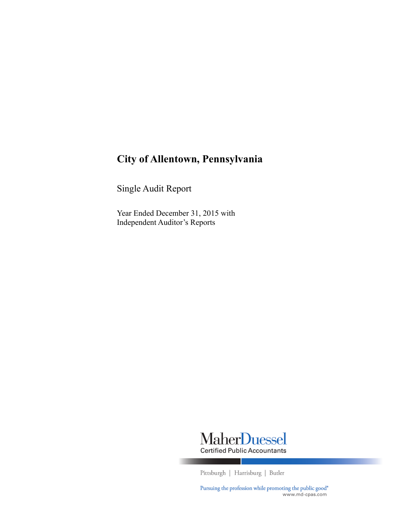# **City of Allentown, Pennsylvania**

Single Audit Report

Year Ended December 31, 2015 with Independent Auditor's Reports



Pittsburgh | Harrisburg | Butler

Pursuing the profession while promoting the public good® www.md-cpas.com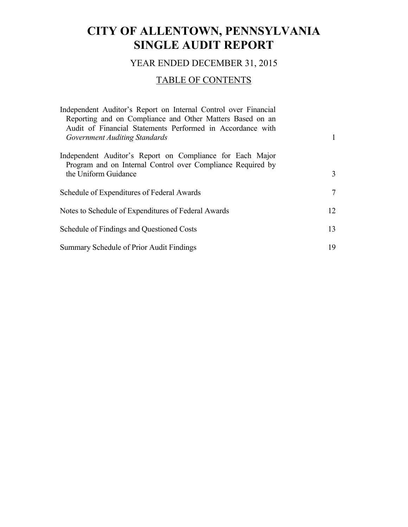# YEAR ENDED DECEMBER 31, 2015

# TABLE OF CONTENTS

| Independent Auditor's Report on Internal Control over Financial<br>Reporting and on Compliance and Other Matters Based on an<br>Audit of Financial Statements Performed in Accordance with |                |
|--------------------------------------------------------------------------------------------------------------------------------------------------------------------------------------------|----------------|
| Government Auditing Standards                                                                                                                                                              | 1              |
| Independent Auditor's Report on Compliance for Each Major<br>Program and on Internal Control over Compliance Required by                                                                   |                |
| the Uniform Guidance                                                                                                                                                                       | 3              |
| Schedule of Expenditures of Federal Awards                                                                                                                                                 | $\overline{7}$ |
| Notes to Schedule of Expenditures of Federal Awards                                                                                                                                        | 12             |
| Schedule of Findings and Questioned Costs                                                                                                                                                  | 13             |
| Summary Schedule of Prior Audit Findings                                                                                                                                                   | 19             |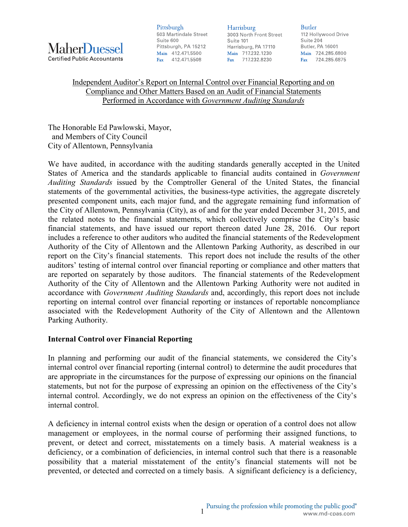

Pittsburgh 503 Martindale Street Suite 600 Pittsburgh, PA 15212 Main 412.471.5500 Fax 412.471.5508

**Harrisburg** 3003 North Front Street Suite 101 Harrisburg, PA 17110 Main 717,232,1230 Fax 717.232.8230

Butler 112 Hollywood Drive Suite 204 Butler, PA 16001 Main 724.285.6800 Fax 724.285.6875

### Independent Auditor's Report on Internal Control over Financial Reporting and on Compliance and Other Matters Based on an Audit of Financial Statements Performed in Accordance with *Government Auditing Standards*

The Honorable Ed Pawlowski, Mayor, and Members of City Council City of Allentown, Pennsylvania

We have audited, in accordance with the auditing standards generally accepted in the United States of America and the standards applicable to financial audits contained in *Government Auditing Standards* issued by the Comptroller General of the United States, the financial statements of the governmental activities, the business-type activities, the aggregate discretely presented component units, each major fund, and the aggregate remaining fund information of the City of Allentown, Pennsylvania (City), as of and for the year ended December 31, 2015, and the related notes to the financial statements, which collectively comprise the City's basic financial statements, and have issued our report thereon dated June 28, 2016. Our report includes a reference to other auditors who audited the financial statements of the Redevelopment Authority of the City of Allentown and the Allentown Parking Authority, as described in our report on the City's financial statements. This report does not include the results of the other auditors' testing of internal control over financial reporting or compliance and other matters that are reported on separately by those auditors. The financial statements of the Redevelopment Authority of the City of Allentown and the Allentown Parking Authority were not audited in accordance with *Government Auditing Standards* and, accordingly, this report does not include reporting on internal control over financial reporting or instances of reportable noncompliance associated with the Redevelopment Authority of the City of Allentown and the Allentown Parking Authority.

### **Internal Control over Financial Reporting**

In planning and performing our audit of the financial statements, we considered the City's internal control over financial reporting (internal control) to determine the audit procedures that are appropriate in the circumstances for the purpose of expressing our opinions on the financial statements, but not for the purpose of expressing an opinion on the effectiveness of the City's internal control. Accordingly, we do not express an opinion on the effectiveness of the City's internal control.

A deficiency in internal control exists when the design or operation of a control does not allow management or employees, in the normal course of performing their assigned functions, to prevent, or detect and correct, misstatements on a timely basis. A material weakness is a deficiency, or a combination of deficiencies, in internal control such that there is a reasonable possibility that a material misstatement of the entity's financial statements will not be prevented, or detected and corrected on a timely basis. A significant deficiency is a deficiency,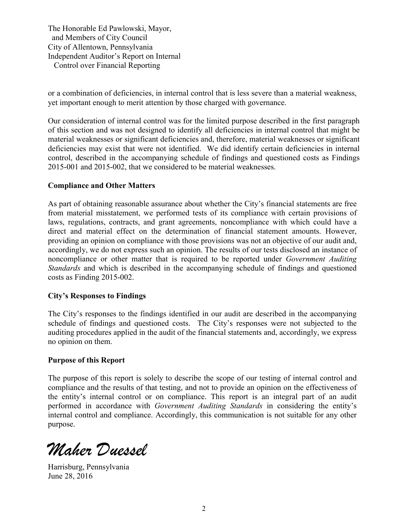The Honorable Ed Pawlowski, Mayor, and Members of City Council City of Allentown, Pennsylvania Independent Auditor's Report on Internal Control over Financial Reporting

or a combination of deficiencies, in internal control that is less severe than a material weakness, yet important enough to merit attention by those charged with governance.

Our consideration of internal control was for the limited purpose described in the first paragraph of this section and was not designed to identify all deficiencies in internal control that might be material weaknesses or significant deficiencies and, therefore, material weaknesses or significant deficiencies may exist that were not identified. We did identify certain deficiencies in internal control, described in the accompanying schedule of findings and questioned costs as Findings 2015-001 and 2015-002, that we considered to be material weaknesses.

#### **Compliance and Other Matters**

As part of obtaining reasonable assurance about whether the City's financial statements are free from material misstatement, we performed tests of its compliance with certain provisions of laws, regulations, contracts, and grant agreements, noncompliance with which could have a direct and material effect on the determination of financial statement amounts. However, providing an opinion on compliance with those provisions was not an objective of our audit and, accordingly, we do not express such an opinion. The results of our tests disclosed an instance of noncompliance or other matter that is required to be reported under *Government Auditing Standards* and which is described in the accompanying schedule of findings and questioned costs as Finding 2015-002.

#### **City's Responses to Findings**

The City's responses to the findings identified in our audit are described in the accompanying schedule of findings and questioned costs. The City's responses were not subjected to the auditing procedures applied in the audit of the financial statements and, accordingly, we express no opinion on them.

#### **Purpose of this Report**

The purpose of this report is solely to describe the scope of our testing of internal control and compliance and the results of that testing, and not to provide an opinion on the effectiveness of the entity's internal control or on compliance. This report is an integral part of an audit performed in accordance with *Government Auditing Standards* in considering the entity's internal control and compliance. Accordingly, this communication is not suitable for any other purpose.

*Maher Duessel*

Harrisburg, Pennsylvania June 28, 2016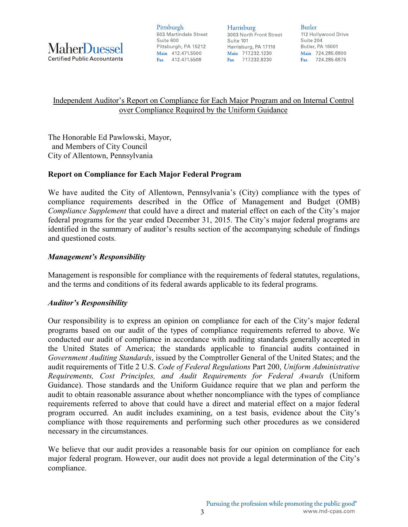

Pittsburgh 503 Martindale Street Suite 600 Pittsburgh, PA 15212 Main 412.471.5500 Fax 412.471.5508

Harrisburg 3003 North Front Street Suite 101 Harrisburg, PA 17110 Main 717.232.1230 Fax 717.232.8230

Butler 112 Hollywood Drive Suite 204 Butler, PA 16001 Main 724,285,6800 Fax 724.285.6875

## Independent Auditor's Report on Compliance for Each Major Program and on Internal Control over Compliance Required by the Uniform Guidance

The Honorable Ed Pawlowski, Mayor, and Members of City Council City of Allentown, Pennsylvania

### **Report on Compliance for Each Major Federal Program**

We have audited the City of Allentown, Pennsylvania's (City) compliance with the types of compliance requirements described in the Office of Management and Budget (OMB) *Compliance Supplement* that could have a direct and material effect on each of the City's major federal programs for the year ended December 31, 2015. The City's major federal programs are identified in the summary of auditor's results section of the accompanying schedule of findings and questioned costs.

### *Management's Responsibility*

Management is responsible for compliance with the requirements of federal statutes, regulations, and the terms and conditions of its federal awards applicable to its federal programs.

### *Auditor's Responsibility*

Our responsibility is to express an opinion on compliance for each of the City's major federal programs based on our audit of the types of compliance requirements referred to above. We conducted our audit of compliance in accordance with auditing standards generally accepted in the United States of America; the standards applicable to financial audits contained in *Government Auditing Standards*, issued by the Comptroller General of the United States; and the audit requirements of Title 2 U.S. *Code of Federal Regulations* Part 200, *Uniform Administrative Requirements, Cost Principles, and Audit Requirements for Federal Awards* (Uniform Guidance). Those standards and the Uniform Guidance require that we plan and perform the audit to obtain reasonable assurance about whether noncompliance with the types of compliance requirements referred to above that could have a direct and material effect on a major federal program occurred. An audit includes examining, on a test basis, evidence about the City's compliance with those requirements and performing such other procedures as we considered necessary in the circumstances.

We believe that our audit provides a reasonable basis for our opinion on compliance for each major federal program. However, our audit does not provide a legal determination of the City's compliance.

3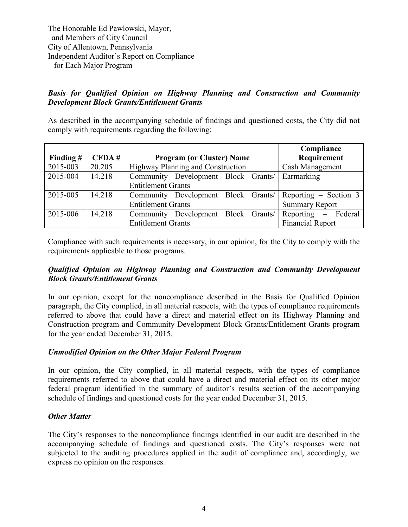The Honorable Ed Pawlowski, Mayor, and Members of City Council City of Allentown, Pennsylvania Independent Auditor's Report on Compliance for Each Major Program

## *Basis for Qualified Opinion on Highway Planning and Construction and Community Development Block Grants/Entitlement Grants*

As described in the accompanying schedule of findings and questioned costs, the City did not comply with requirements regarding the following:

|           |        |                                     | Compliance              |
|-----------|--------|-------------------------------------|-------------------------|
| Finding # | CFDA#  | <b>Program (or Cluster) Name</b>    | Requirement             |
| 2015-003  | 20.205 | Highway Planning and Construction   | Cash Management         |
| 2015-004  | 14.218 | Community Development Block Grants/ | Earmarking              |
|           |        | <b>Entitlement Grants</b>           |                         |
| 2015-005  | 14.218 | Community Development Block Grants/ | Reporting – Section 3   |
|           |        | <b>Entitlement Grants</b>           | <b>Summary Report</b>   |
| 2015-006  | 14.218 | Community Development Block Grants/ | Reporting – Federal     |
|           |        | <b>Entitlement Grants</b>           | <b>Financial Report</b> |

Compliance with such requirements is necessary, in our opinion, for the City to comply with the requirements applicable to those programs.

## *Qualified Opinion on Highway Planning and Construction and Community Development Block Grants/Entitlement Grants*

In our opinion, except for the noncompliance described in the Basis for Qualified Opinion paragraph, the City complied, in all material respects, with the types of compliance requirements referred to above that could have a direct and material effect on its Highway Planning and Construction program and Community Development Block Grants/Entitlement Grants program for the year ended December 31, 2015.

### *Unmodified Opinion on the Other Major Federal Program*

In our opinion, the City complied, in all material respects, with the types of compliance requirements referred to above that could have a direct and material effect on its other major federal program identified in the summary of auditor's results section of the accompanying schedule of findings and questioned costs for the year ended December 31, 2015.

### *Other Matter*

The City's responses to the noncompliance findings identified in our audit are described in the accompanying schedule of findings and questioned costs. The City's responses were not subjected to the auditing procedures applied in the audit of compliance and, accordingly, we express no opinion on the responses.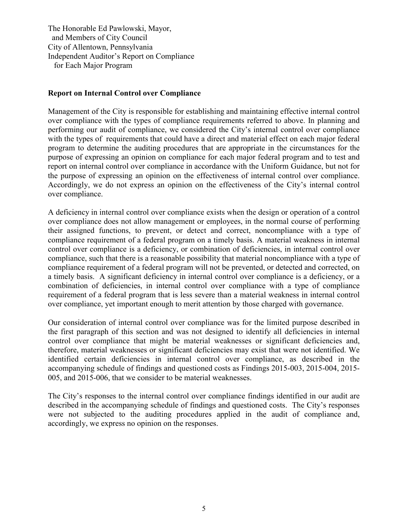The Honorable Ed Pawlowski, Mayor, and Members of City Council City of Allentown, Pennsylvania Independent Auditor's Report on Compliance for Each Major Program

### **Report on Internal Control over Compliance**

Management of the City is responsible for establishing and maintaining effective internal control over compliance with the types of compliance requirements referred to above. In planning and performing our audit of compliance, we considered the City's internal control over compliance with the types of requirements that could have a direct and material effect on each major federal program to determine the auditing procedures that are appropriate in the circumstances for the purpose of expressing an opinion on compliance for each major federal program and to test and report on internal control over compliance in accordance with the Uniform Guidance, but not for the purpose of expressing an opinion on the effectiveness of internal control over compliance. Accordingly, we do not express an opinion on the effectiveness of the City's internal control over compliance.

A deficiency in internal control over compliance exists when the design or operation of a control over compliance does not allow management or employees, in the normal course of performing their assigned functions, to prevent, or detect and correct, noncompliance with a type of compliance requirement of a federal program on a timely basis. A material weakness in internal control over compliance is a deficiency, or combination of deficiencies, in internal control over compliance, such that there is a reasonable possibility that material noncompliance with a type of compliance requirement of a federal program will not be prevented, or detected and corrected, on a timely basis. A significant deficiency in internal control over compliance is a deficiency, or a combination of deficiencies, in internal control over compliance with a type of compliance requirement of a federal program that is less severe than a material weakness in internal control over compliance, yet important enough to merit attention by those charged with governance.

Our consideration of internal control over compliance was for the limited purpose described in the first paragraph of this section and was not designed to identify all deficiencies in internal control over compliance that might be material weaknesses or significant deficiencies and, therefore, material weaknesses or significant deficiencies may exist that were not identified. We identified certain deficiencies in internal control over compliance, as described in the accompanying schedule of findings and questioned costs as Findings 2015-003, 2015-004, 2015- 005, and 2015-006, that we consider to be material weaknesses.

The City's responses to the internal control over compliance findings identified in our audit are described in the accompanying schedule of findings and questioned costs. The City's responses were not subjected to the auditing procedures applied in the audit of compliance and, accordingly, we express no opinion on the responses.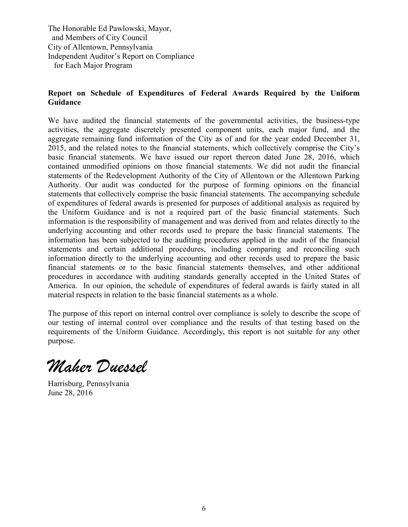The Honorable Ed Pawlowski, Mayor, and Members of City Council City of Allentown, Pennsylvania Independent Auditor's Report on Compliance for Each Major Program

### **Report on Schedule of Expenditures of Federal Awards Required by the Uniform Guidance**

We have audited the financial statements of the governmental activities, the business-type activities, the aggregate discretely presented component units, each major fund, and the aggregate remaining fund information of the City as of and for the year ended December 31, 2015, and the related notes to the financial statements, which collectively comprise the City's basic financial statements. We have issued our report thereon dated June 28, 2016, which contained unmodified opinions on those financial statements. We did not audit the financial statements of the Redevelopment Authority of the City of Allentown or the Allentown Parking Authority. Our audit was conducted for the purpose of forming opinions on the financial statements that collectively comprise the basic financial statements. The accompanying schedule of expenditures of federal awards is presented for purposes of additional analysis as required by the Uniform Guidance and is not a required part of the basic financial statements. Such information is the responsibility of management and was derived from and relates directly to the underlying accounting and other records used to prepare the basic financial statements. The information has been subjected to the auditing procedures applied in the audit of the financial statements and certain additional procedures, including comparing and reconciling such information directly to the underlying accounting and other records used to prepare the basic financial statements or to the basic financial statements themselves, and other additional procedures in accordance with auditing standards generally accepted in the United States of America. In our opinion, the schedule of expenditures of federal awards is fairly stated in all material respects in relation to the basic financial statements as a whole.

The purpose of this report on internal control over compliance is solely to describe the scope of our testing of internal control over compliance and the results of that testing based on the requirements of the Uniform Guidance. Accordingly, this report is not suitable for any other purpose.

*Maher Duessel*

Harrisburg, Pennsylvania June 28, 2016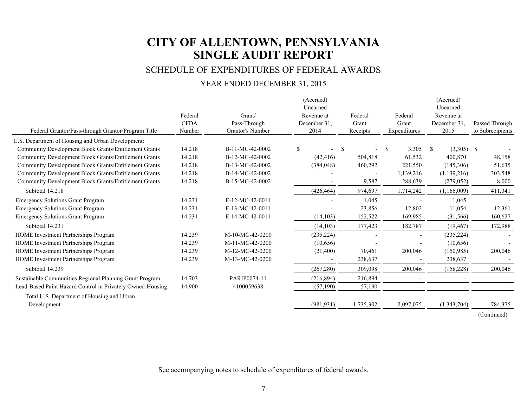# **SINGLE AUDIT REPORT CITY OF ALLENTOWN, PENNSYLVANIA**

# SCHEDULE OF EXPENDITURES OF FEDERAL AWARDS

# YEAR ENDED DECEMBER 31, 2015

|                                                            |                                  |                                            | (Accrued)<br>Unearned              |                              |                                  | (Accrued)<br>Unearned              |                                    |
|------------------------------------------------------------|----------------------------------|--------------------------------------------|------------------------------------|------------------------------|----------------------------------|------------------------------------|------------------------------------|
| Federal Grantor/Pass-through Grantor/Program Title         | Federal<br><b>CFDA</b><br>Number | Grant/<br>Pass-Through<br>Grantor's Number | Revenue at<br>December 31.<br>2014 | Federal<br>Grant<br>Receipts | Federal<br>Grant<br>Expenditures | Revenue at<br>December 31.<br>2015 | Passed Through<br>to Subrecipients |
| U.S. Department of Housing and Urban Development:          |                                  |                                            |                                    |                              |                                  |                                    |                                    |
| Community Development Block Grants/Entitlement Grants      | 14.218                           | B-11-MC-42-0002                            | \$                                 | -S                           | 3,305<br>-S                      | $(3,305)$ \$<br><sup>S</sup>       |                                    |
| Community Development Block Grants/Entitlement Grants      | 14.218                           | B-12-MC-42-0002                            | (42, 416)                          | 504,818                      | 61,532                           | 400,870                            | 48,158                             |
| Community Development Block Grants/Entitlement Grants      | 14.218                           | B-13-MC-42-0002                            | (384, 048)                         | 460,292                      | 221,550                          | (145,306)                          | 51,635                             |
| Community Development Block Grants/Entitlement Grants      | 14.218                           | B-14-MC-42-0002                            |                                    |                              | 1,139,216                        | (1,139,216)                        | 303,548                            |
| Community Development Block Grants/Entitlement Grants      | 14.218                           | B-15-MC-42-0002                            |                                    | 9,587                        | 288,639                          | (279, 052)                         | 8,000                              |
| Subtotal 14.218                                            |                                  |                                            | (426, 464)                         | 974,697                      | 1,714,242                        | (1,166,009)                        | 411,341                            |
| <b>Emergency Solutions Grant Program</b>                   | 14.231                           | E-12-MC-42-0011                            |                                    | 1,045                        |                                  | 1,045                              |                                    |
| <b>Emergency Solutions Grant Program</b>                   | 14.231                           | E-13-MC-42-0011                            |                                    | 23,856                       | 12,802                           | 11,054                             | 12,361                             |
| <b>Emergency Solutions Grant Program</b>                   | 14.231                           | E-14-MC-42-0011                            | (14, 103)                          | 152,522                      | 169,985                          | (31, 566)                          | 160,627                            |
| Subtotal 14.231                                            |                                  |                                            | (14, 103)                          | 177,423                      | 182,787                          | (19, 467)                          | 172,988                            |
| HOME Investment Partnerships Program                       | 14.239                           | M-10-MC-42-0200                            | (235, 224)                         |                              |                                  | (235, 224)                         |                                    |
| HOME Investment Partnerships Program                       | 14.239                           | M-11-MC-42-0200                            | (10,656)                           |                              |                                  | (10,656)                           |                                    |
| HOME Investment Partnerships Program                       | 14.239                           | M-12-MC-42-0200                            | (21,400)                           | 70,461                       | 200,046                          | (150,985)                          | 200,046                            |
| <b>HOME</b> Investment Partnerships Program                | 14.239                           | M-13-MC-42-0200                            |                                    | 238,637                      |                                  | 238,637                            |                                    |
| Subtotal 14.239                                            |                                  |                                            | (267, 280)                         | 309,098                      | 200,046                          | (158, 228)                         | 200,046                            |
| Sustainable Communities Regional Planning Grant Program    | 14.703                           | PARIP0074-11                               | (216, 894)                         | 216,894                      |                                  |                                    |                                    |
| Lead-Based Paint Hazard Control in Privately Owned-Housing | 14.900                           | 4100059638                                 | (57, 190)                          | 57,190                       |                                  |                                    |                                    |
| Total U.S. Department of Housing and Urban                 |                                  |                                            |                                    |                              |                                  |                                    |                                    |
| Development                                                |                                  |                                            | (981, 931)                         | 1,735,302                    | 2,097,075                        | (1,343,704)                        | 784,375                            |
|                                                            |                                  |                                            |                                    |                              |                                  |                                    | (Continued)                        |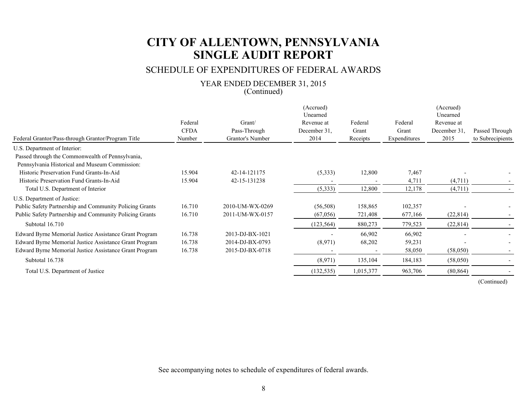# SCHEDULE OF EXPENDITURES OF FEDERAL AWARDS

#### YEAR ENDED DECEMBER 31, 2015 (Continued)

|                                                         | Federal<br><b>CFDA</b> | Grant/<br>Pass-Through | (Accrued)<br>Unearned<br>Revenue at<br>December 31, | Federal<br>Grant | Federal<br>Grant | (Accrued)<br>Unearned<br>Revenue at<br>December 31, | Passed Through   |
|---------------------------------------------------------|------------------------|------------------------|-----------------------------------------------------|------------------|------------------|-----------------------------------------------------|------------------|
| Federal Grantor/Pass-through Grantor/Program Title      | Number                 | Grantor's Number       | 2014                                                | Receipts         | Expenditures     | 2015                                                | to Subrecipients |
| U.S. Department of Interior:                            |                        |                        |                                                     |                  |                  |                                                     |                  |
| Passed through the Commonwealth of Pennsylvania,        |                        |                        |                                                     |                  |                  |                                                     |                  |
| Pennsylvania Historical and Museum Commission:          |                        |                        |                                                     |                  |                  |                                                     |                  |
| Historic Preservation Fund Grants-In-Aid                | 15.904                 | 42-14-121175           | (5, 333)                                            | 12,800           | 7,467            |                                                     |                  |
| Historic Preservation Fund Grants-In-Aid                | 15.904                 | 42-15-131238           |                                                     |                  | 4,711            | (4,711)                                             |                  |
| Total U.S. Department of Interior                       |                        |                        | (5, 333)                                            | 12,800           | 12,178           | (4,711)                                             |                  |
| U.S. Department of Justice:                             |                        |                        |                                                     |                  |                  |                                                     |                  |
| Public Safety Partnership and Community Policing Grants | 16.710                 | 2010-UM-WX-0269        | (56,508)                                            | 158,865          | 102,357          |                                                     |                  |
| Public Safety Partnership and Community Policing Grants | 16.710                 | 2011-UM-WX-0157        | (67,056)                                            | 721,408          | 677,166          | (22, 814)                                           |                  |
| Subtotal 16.710                                         |                        |                        | (123, 564)                                          | 880,273          | 779,523          | (22, 814)                                           |                  |
| Edward Byrne Memorial Justice Assistance Grant Program  | 16.738                 | 2013-DJ-BX-1021        |                                                     | 66,902           | 66,902           |                                                     |                  |
| Edward Byrne Memorial Justice Assistance Grant Program  | 16.738                 | 2014-DJ-BX-0793        | (8,971)                                             | 68,202           | 59,231           |                                                     |                  |
| Edward Byrne Memorial Justice Assistance Grant Program  | 16.738                 | 2015-DJ-BX-0718        |                                                     |                  | 58,050           | (58,050)                                            |                  |
| Subtotal 16.738                                         |                        |                        | (8,971)                                             | 135,104          | 184,183          | (58,050)                                            |                  |
| Total U.S. Department of Justice                        |                        |                        | (132, 535)                                          | 1,015,377        | 963,706          | (80, 864)                                           |                  |
|                                                         |                        |                        |                                                     |                  |                  |                                                     |                  |

(Continued)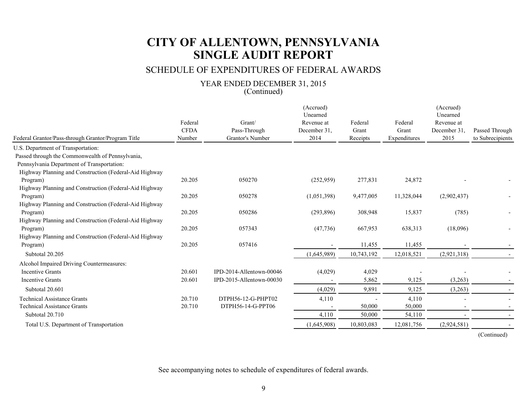# SCHEDULE OF EXPENDITURES OF FEDERAL AWARDS

#### YEAR ENDED DECEMBER 31, 2015 (Continued)

|                                                        |                                  |                                            | (Accrued)<br>Unearned              |                              |                                  | (Accrued)<br>Unearned              |                                    |
|--------------------------------------------------------|----------------------------------|--------------------------------------------|------------------------------------|------------------------------|----------------------------------|------------------------------------|------------------------------------|
| Federal Grantor/Pass-through Grantor/Program Title     | Federal<br><b>CFDA</b><br>Number | Grant/<br>Pass-Through<br>Grantor's Number | Revenue at<br>December 31.<br>2014 | Federal<br>Grant<br>Receipts | Federal<br>Grant<br>Expenditures | Revenue at<br>December 31.<br>2015 | Passed Through<br>to Subrecipients |
| U.S. Department of Transportation:                     |                                  |                                            |                                    |                              |                                  |                                    |                                    |
| Passed through the Commonwealth of Pennsylvania,       |                                  |                                            |                                    |                              |                                  |                                    |                                    |
| Pennsylvania Department of Transportation:             |                                  |                                            |                                    |                              |                                  |                                    |                                    |
| Highway Planning and Construction (Federal-Aid Highway |                                  |                                            |                                    |                              |                                  |                                    |                                    |
| Program)                                               | 20.205                           | 050270                                     | (252,959)                          | 277,831                      | 24,872                           |                                    |                                    |
| Highway Planning and Construction (Federal-Aid Highway |                                  |                                            |                                    |                              |                                  |                                    |                                    |
| Program)                                               | 20.205                           | 050278                                     | (1,051,398)                        | 9,477,005                    | 11,328,044                       | (2,902,437)                        |                                    |
| Highway Planning and Construction (Federal-Aid Highway |                                  |                                            |                                    |                              |                                  |                                    |                                    |
| Program)                                               | 20.205                           | 050286                                     | (293, 896)                         | 308,948                      | 15,837                           | (785)                              |                                    |
| Highway Planning and Construction (Federal-Aid Highway |                                  |                                            |                                    |                              |                                  |                                    |                                    |
| Program)                                               | 20.205                           | 057343                                     | (47, 736)                          | 667,953                      | 638,313                          | (18,096)                           |                                    |
| Highway Planning and Construction (Federal-Aid Highway |                                  |                                            |                                    |                              |                                  |                                    |                                    |
| Program)                                               | 20.205                           | 057416                                     |                                    | 11,455                       | 11,455                           |                                    |                                    |
| Subtotal 20.205                                        |                                  |                                            | (1,645,989)                        | 10,743,192                   | 12,018,521                       | (2,921,318)                        |                                    |
| Alcohol Impaired Driving Countermeasures:              |                                  |                                            |                                    |                              |                                  |                                    |                                    |
| <b>Incentive Grants</b>                                | 20.601                           | IPD-2014-Allentown-00046                   | (4,029)                            | 4,029                        |                                  |                                    |                                    |
| <b>Incentive Grants</b>                                | 20.601                           | IPD-2015-Allentown-00030                   |                                    | 5,862                        | 9,125                            | (3,263)                            |                                    |
| Subtotal 20.601                                        |                                  |                                            | (4,029)                            | 9,891                        | 9,125                            | (3,263)                            |                                    |
| <b>Technical Assistance Grants</b>                     | 20.710                           | DTPH56-12-G-PHPT02                         | 4,110                              |                              | 4,110                            |                                    |                                    |
| <b>Technical Assistance Grants</b>                     | 20.710                           | DTPH56-14-G-PPT06                          |                                    | 50,000                       | 50,000                           |                                    |                                    |
| Subtotal 20.710                                        |                                  |                                            | 4,110                              | 50,000                       | 54,110                           |                                    |                                    |
| Total U.S. Department of Transportation                |                                  |                                            | (1,645,908)                        | 10,803,083                   | 12,081,756                       | (2,924,581)                        |                                    |
|                                                        |                                  |                                            |                                    |                              |                                  |                                    | (Continued)                        |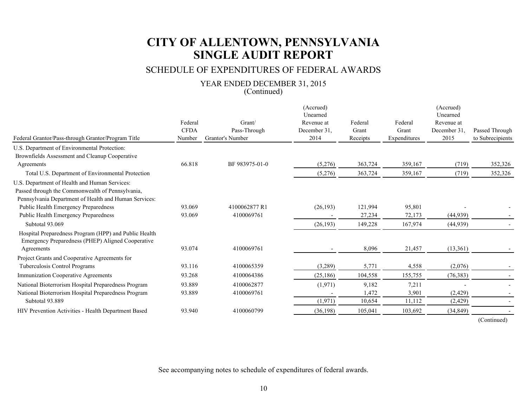# SCHEDULE OF EXPENDITURES OF FEDERAL AWARDS

#### YEAR ENDED DECEMBER 31, 2015 (Continued)

|                                                                                                            |             |                  | (Accrued)<br>Unearned |          |              | (Accrued)<br>Unearned |                  |
|------------------------------------------------------------------------------------------------------------|-------------|------------------|-----------------------|----------|--------------|-----------------------|------------------|
|                                                                                                            | Federal     | Grant/           | Revenue at            | Federal  | Federal      | Revenue at            |                  |
|                                                                                                            | <b>CFDA</b> | Pass-Through     | December 31.          | Grant    | Grant        | December 31.          | Passed Through   |
| Federal Grantor/Pass-through Grantor/Program Title                                                         | Number      | Grantor's Number | 2014                  | Receipts | Expenditures | 2015                  | to Subrecipients |
| U.S. Department of Environmental Protection:                                                               |             |                  |                       |          |              |                       |                  |
| Brownfields Assessment and Cleanup Cooperative                                                             |             |                  |                       |          |              |                       |                  |
| Agreements                                                                                                 | 66.818      | BF 983975-01-0   | (5,276)               | 363,724  | 359,167      | (719)                 | 352,326          |
| Total U.S. Department of Environmental Protection                                                          |             |                  | (5,276)               | 363,724  | 359,167      | (719)                 | 352,326          |
| U.S. Department of Health and Human Services:                                                              |             |                  |                       |          |              |                       |                  |
| Passed through the Commonwealth of Pennsylvania,                                                           |             |                  |                       |          |              |                       |                  |
| Pennsylvania Department of Health and Human Services:                                                      |             |                  |                       |          |              |                       |                  |
| Public Health Emergency Preparedness                                                                       | 93.069      | 4100062877 R1    | (26, 193)             | 121,994  | 95,801       |                       |                  |
| Public Health Emergency Preparedness                                                                       | 93.069      | 4100069761       |                       | 27,234   | 72,173       | (44, 939)             |                  |
| Subtotal 93.069                                                                                            |             |                  | (26, 193)             | 149,228  | 167,974      | (44, 939)             |                  |
| Hospital Preparedness Program (HPP) and Public Health<br>Emergency Preparedness (PHEP) Aligned Cooperative |             |                  |                       |          |              |                       |                  |
| Agreements                                                                                                 | 93.074      | 4100069761       |                       | 8,096    | 21,457       | (13,361)              |                  |
| Project Grants and Cooperative Agreements for                                                              |             |                  |                       |          |              |                       |                  |
| Tuberculosis Control Programs                                                                              | 93.116      | 4100065359       | (3,289)               | 5,771    | 4,558        | (2,076)               |                  |
| Immunization Cooperative Agreements                                                                        | 93.268      | 4100064386       | (25, 186)             | 104,558  | 155,755      | (76, 383)             |                  |
| National Bioterrorism Hospital Preparedness Program                                                        | 93.889      | 4100062877       | (1,971)               | 9,182    | 7,211        |                       |                  |
| National Bioterrorism Hospital Preparedness Program                                                        | 93.889      | 4100069761       |                       | 1,472    | 3,901        | (2, 429)              |                  |
| Subtotal 93.889                                                                                            |             |                  | (1, 971)              | 10,654   | 11,112       | (2, 429)              |                  |
| HIV Prevention Activities - Health Department Based                                                        | 93.940      | 4100060799       | (36, 198)             | 105,041  | 103,692      | (34, 849)             |                  |
|                                                                                                            |             |                  |                       |          |              |                       |                  |

(Continued)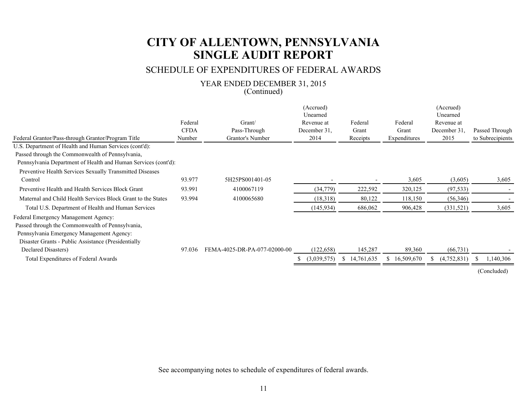# SCHEDULE OF EXPENDITURES OF FEDERAL AWARDS

#### YEAR ENDED DECEMBER 31, 2015 (Continued)

|                                                                |                        |                              | (Accrued)<br>Unearned      |                          |                  | (Accrued)<br>Unearned      |                  |
|----------------------------------------------------------------|------------------------|------------------------------|----------------------------|--------------------------|------------------|----------------------------|------------------|
|                                                                | Federal<br><b>CFDA</b> | Grant/<br>Pass-Through       | Revenue at<br>December 31. | Federal<br>Grant         | Federal<br>Grant | Revenue at<br>December 31. | Passed Through   |
| Federal Grantor/Pass-through Grantor/Program Title             | Number                 | <b>Grantor's Number</b>      | 2014                       | Receipts                 | Expenditures     | 2015                       | to Subrecipients |
| U.S. Department of Health and Human Services (cont'd):         |                        |                              |                            |                          |                  |                            |                  |
| Passed through the Commonwealth of Pennsylvania,               |                        |                              |                            |                          |                  |                            |                  |
| Pennsylvania Department of Health and Human Services (cont'd): |                        |                              |                            |                          |                  |                            |                  |
| Preventive Health Services Sexually Transmitted Diseases       |                        |                              |                            |                          |                  |                            |                  |
| Control                                                        | 93.977                 | 5H25PS001401-05              |                            | $\overline{\phantom{a}}$ | 3,605            | (3,605)                    | 3,605            |
| Preventive Health and Health Services Block Grant              | 93.991                 | 4100067119                   | (34, 779)                  | 222,592                  | 320,125          | (97, 533)                  |                  |
| Maternal and Child Health Services Block Grant to the States   | 93.994                 | 4100065680                   | (18, 318)                  | 80,122                   | 118,150          | (56, 346)                  |                  |
| Total U.S. Department of Health and Human Services             |                        |                              | (145, 934)                 | 686,062                  | 906,428          | (331, 521)                 | 3,605            |
| Federal Emergency Management Agency:                           |                        |                              |                            |                          |                  |                            |                  |
| Passed through the Commonwealth of Pennsylvania,               |                        |                              |                            |                          |                  |                            |                  |
| Pennsylvania Emergency Management Agency:                      |                        |                              |                            |                          |                  |                            |                  |
| Disaster Grants - Public Assistance (Presidentially            |                        |                              |                            |                          |                  |                            |                  |
| Declared Disasters)                                            | 97.036                 | FEMA-4025-DR-PA-077-02000-00 | (122, 658)                 | 145,287                  | 89,360           | (66, 731)                  |                  |
| Total Expenditures of Federal Awards                           |                        |                              | (3,039,575)                | 14,761,635<br>S.         | 16,509,670       | (4,752,831)                | 1,140,306<br>-8  |
|                                                                |                        |                              |                            |                          |                  |                            | (Concluded)      |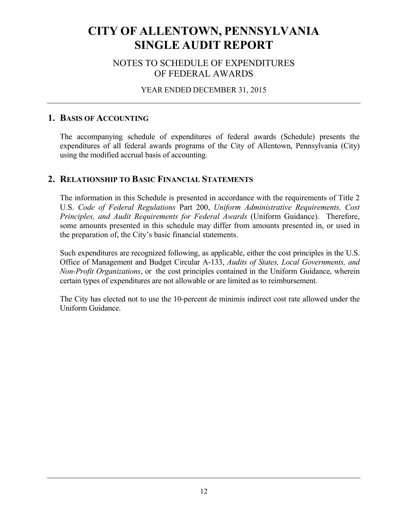# NOTES TO SCHEDULE OF EXPENDITURES OF FEDERAL AWARDS

### YEAR ENDED DECEMBER 31, 2015

## **1. BASIS OF ACCOUNTING**

The accompanying schedule of expenditures of federal awards (Schedule) presents the expenditures of all federal awards programs of the City of Allentown, Pennsylvania (City) using the modified accrual basis of accounting.

# **2. RELATIONSHIP TO BASIC FINANCIAL STATEMENTS**

The information in this Schedule is presented in accordance with the requirements of Title 2 U.S. *Code of Federal Regulations* Part 200, *Uniform Administrative Requirements, Cost Principles, and Audit Requirements for Federal Awards* (Uniform Guidance). Therefore, some amounts presented in this schedule may differ from amounts presented in, or used in the preparation of, the City's basic financial statements.

Such expenditures are recognized following, as applicable, either the cost principles in the U.S. Office of Management and Budget Circular A-133, *Audits of States, Local Governments, and Non-Profit Organizations*, or the cost principles contained in the Uniform Guidance, wherein certain types of expenditures are not allowable or are limited as to reimbursement.

The City has elected not to use the 10-percent de minimis indirect cost rate allowed under the Uniform Guidance.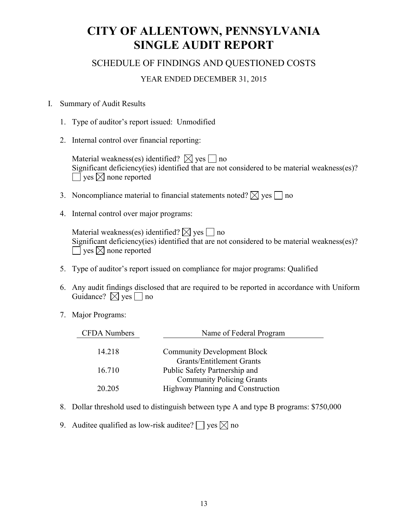# SCHEDULE OF FINDINGS AND QUESTIONED COSTS

# YEAR ENDED DECEMBER 31, 2015

## I. Summary of Audit Results

- 1. Type of auditor's report issued: Unmodified
- 2. Internal control over financial reporting:

Material weakness(es) identified?  $\boxtimes$  yes  $\Box$  no Significant deficiency(ies) identified that are not considered to be material weakness(es)?  $\Box$  yes  $\boxtimes$  none reported

- 3. Noncompliance material to financial statements noted?  $\boxtimes$  yes  $\Box$  no
- 4. Internal control over major programs:

Material weakness(es) identified?  $\boxtimes$  yes  $\Box$  no Significant deficiency(ies) identified that are not considered to be material weakness(es)?  $\Box$  yes  $\boxtimes$  none reported

- 5. Type of auditor's report issued on compliance for major programs: Qualified
- 6. Any audit findings disclosed that are required to be reported in accordance with Uniform Guidance?  $\boxtimes$  yes  $\Box$  no
- 7. Major Programs:

| <b>CFDA</b> Numbers | Name of Federal Program                                               |
|---------------------|-----------------------------------------------------------------------|
| 14 218              | <b>Community Development Block</b>                                    |
|                     | <b>Grants/Entitlement Grants</b>                                      |
| 16.710              | Public Safety Partnership and                                         |
| 20.205              | <b>Community Policing Grants</b><br>Highway Planning and Construction |

- 8. Dollar threshold used to distinguish between type A and type B programs: \$750,000
- 9. Auditee qualified as low-risk auditee?  $\Box$  ves  $\boxtimes$  no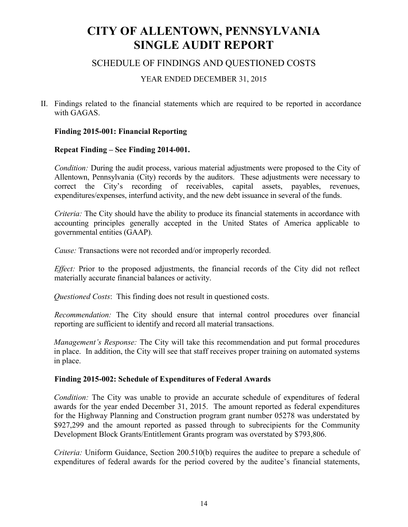# SCHEDULE OF FINDINGS AND QUESTIONED COSTS

## YEAR ENDED DECEMBER 31, 2015

II. Findings related to the financial statements which are required to be reported in accordance with GAGAS

### **Finding 2015-001: Financial Reporting**

### **Repeat Finding – See Finding 2014-001.**

*Condition:* During the audit process, various material adjustments were proposed to the City of Allentown, Pennsylvania (City) records by the auditors. These adjustments were necessary to correct the City's recording of receivables, capital assets, payables, revenues, expenditures/expenses, interfund activity, and the new debt issuance in several of the funds.

*Criteria:* The City should have the ability to produce its financial statements in accordance with accounting principles generally accepted in the United States of America applicable to governmental entities (GAAP).

*Cause:* Transactions were not recorded and/or improperly recorded.

*Effect:* Prior to the proposed adjustments, the financial records of the City did not reflect materially accurate financial balances or activity.

*Questioned Costs*: This finding does not result in questioned costs.

*Recommendation:* The City should ensure that internal control procedures over financial reporting are sufficient to identify and record all material transactions.

*Management's Response:* The City will take this recommendation and put formal procedures in place. In addition, the City will see that staff receives proper training on automated systems in place.

#### **Finding 2015-002: Schedule of Expenditures of Federal Awards**

*Condition:* The City was unable to provide an accurate schedule of expenditures of federal awards for the year ended December 31, 2015. The amount reported as federal expenditures for the Highway Planning and Construction program grant number 05278 was understated by \$927,299 and the amount reported as passed through to subrecipients for the Community Development Block Grants/Entitlement Grants program was overstated by \$793,806.

*Criteria:* Uniform Guidance, Section 200.510(b) requires the auditee to prepare a schedule of expenditures of federal awards for the period covered by the auditee's financial statements,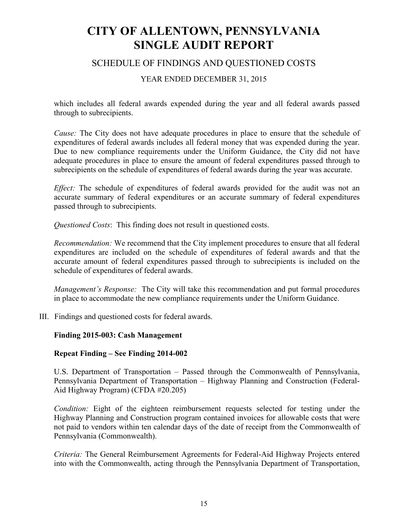# SCHEDULE OF FINDINGS AND QUESTIONED COSTS

### YEAR ENDED DECEMBER 31, 2015

which includes all federal awards expended during the year and all federal awards passed through to subrecipients.

*Cause:* The City does not have adequate procedures in place to ensure that the schedule of expenditures of federal awards includes all federal money that was expended during the year. Due to new compliance requirements under the Uniform Guidance, the City did not have adequate procedures in place to ensure the amount of federal expenditures passed through to subrecipients on the schedule of expenditures of federal awards during the year was accurate.

*Effect:* The schedule of expenditures of federal awards provided for the audit was not an accurate summary of federal expenditures or an accurate summary of federal expenditures passed through to subrecipients.

*Questioned Costs*: This finding does not result in questioned costs.

*Recommendation:* We recommend that the City implement procedures to ensure that all federal expenditures are included on the schedule of expenditures of federal awards and that the accurate amount of federal expenditures passed through to subrecipients is included on the schedule of expenditures of federal awards.

*Management's Response:* The City will take this recommendation and put formal procedures in place to accommodate the new compliance requirements under the Uniform Guidance.

III. Findings and questioned costs for federal awards.

#### **Finding 2015-003: Cash Management**

#### **Repeat Finding – See Finding 2014-002**

U.S. Department of Transportation – Passed through the Commonwealth of Pennsylvania, Pennsylvania Department of Transportation – Highway Planning and Construction (Federal-Aid Highway Program) (CFDA #20.205)

*Condition:* Eight of the eighteen reimbursement requests selected for testing under the Highway Planning and Construction program contained invoices for allowable costs that were not paid to vendors within ten calendar days of the date of receipt from the Commonwealth of Pennsylvania (Commonwealth).

*Criteria:* The General Reimbursement Agreements for Federal-Aid Highway Projects entered into with the Commonwealth, acting through the Pennsylvania Department of Transportation,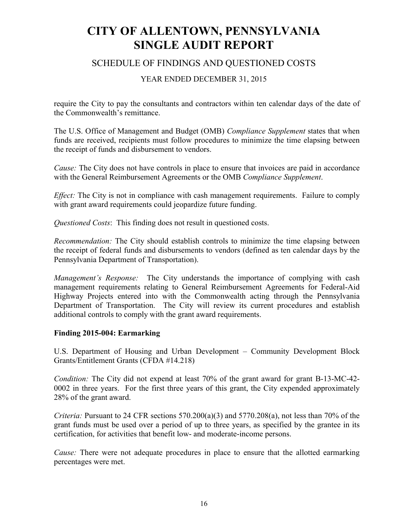# SCHEDULE OF FINDINGS AND QUESTIONED COSTS

YEAR ENDED DECEMBER 31, 2015

require the City to pay the consultants and contractors within ten calendar days of the date of the Commonwealth's remittance.

The U.S. Office of Management and Budget (OMB) *Compliance Supplement* states that when funds are received, recipients must follow procedures to minimize the time elapsing between the receipt of funds and disbursement to vendors.

*Cause:* The City does not have controls in place to ensure that invoices are paid in accordance with the General Reimbursement Agreements or the OMB *Compliance Supplement*.

*Effect:* The City is not in compliance with cash management requirements. Failure to comply with grant award requirements could jeopardize future funding.

*Questioned Costs*: This finding does not result in questioned costs.

*Recommendation:* The City should establish controls to minimize the time elapsing between the receipt of federal funds and disbursements to vendors (defined as ten calendar days by the Pennsylvania Department of Transportation).

*Management's Response:* The City understands the importance of complying with cash management requirements relating to General Reimbursement Agreements for Federal-Aid Highway Projects entered into with the Commonwealth acting through the Pennsylvania Department of Transportation. The City will review its current procedures and establish additional controls to comply with the grant award requirements.

### **Finding 2015-004: Earmarking**

U.S. Department of Housing and Urban Development – Community Development Block Grants/Entitlement Grants (CFDA #14.218)

*Condition:* The City did not expend at least 70% of the grant award for grant B-13-MC-42- 0002 in three years. For the first three years of this grant, the City expended approximately 28% of the grant award.

*Criteria:* Pursuant to 24 CFR sections 570.200(a)(3) and 5770.208(a), not less than 70% of the grant funds must be used over a period of up to three years, as specified by the grantee in its certification, for activities that benefit low- and moderate-income persons.

*Cause:* There were not adequate procedures in place to ensure that the allotted earmarking percentages were met.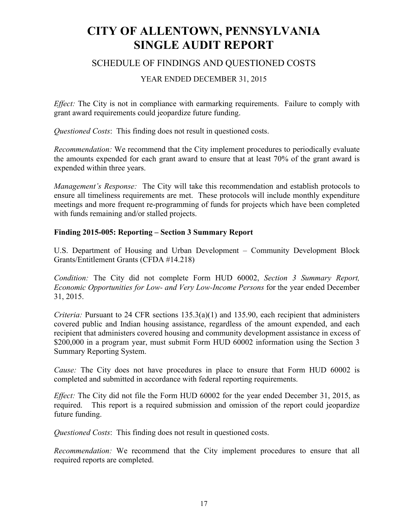# SCHEDULE OF FINDINGS AND QUESTIONED COSTS

YEAR ENDED DECEMBER 31, 2015

*Effect:* The City is not in compliance with earmarking requirements. Failure to comply with grant award requirements could jeopardize future funding.

*Questioned Costs*: This finding does not result in questioned costs.

*Recommendation:* We recommend that the City implement procedures to periodically evaluate the amounts expended for each grant award to ensure that at least 70% of the grant award is expended within three years.

*Management's Response:* The City will take this recommendation and establish protocols to ensure all timeliness requirements are met. These protocols will include monthly expenditure meetings and more frequent re-programming of funds for projects which have been completed with funds remaining and/or stalled projects.

### **Finding 2015-005: Reporting – Section 3 Summary Report**

U.S. Department of Housing and Urban Development – Community Development Block Grants/Entitlement Grants (CFDA #14.218)

*Condition:* The City did not complete Form HUD 60002, *Section 3 Summary Report, Economic Opportunities for Low- and Very Low-Income Persons* for the year ended December 31, 2015.

*Criteria:* Pursuant to 24 CFR sections 135.3(a)(1) and 135.90, each recipient that administers covered public and Indian housing assistance, regardless of the amount expended, and each recipient that administers covered housing and community development assistance in excess of \$200,000 in a program year, must submit Form HUD 60002 information using the Section 3 Summary Reporting System.

*Cause:* The City does not have procedures in place to ensure that Form HUD 60002 is completed and submitted in accordance with federal reporting requirements.

*Effect:* The City did not file the Form HUD 60002 for the year ended December 31, 2015, as required. This report is a required submission and omission of the report could jeopardize future funding.

*Questioned Costs*: This finding does not result in questioned costs.

*Recommendation:* We recommend that the City implement procedures to ensure that all required reports are completed.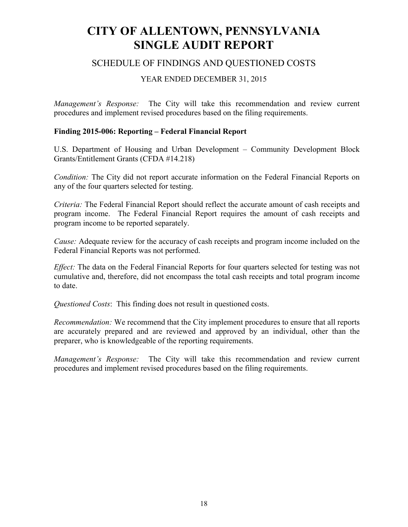# SCHEDULE OF FINDINGS AND QUESTIONED COSTS

YEAR ENDED DECEMBER 31, 2015

*Management's Response:* The City will take this recommendation and review current procedures and implement revised procedures based on the filing requirements.

#### **Finding 2015-006: Reporting – Federal Financial Report**

U.S. Department of Housing and Urban Development – Community Development Block Grants/Entitlement Grants (CFDA #14.218)

*Condition:* The City did not report accurate information on the Federal Financial Reports on any of the four quarters selected for testing.

*Criteria:* The Federal Financial Report should reflect the accurate amount of cash receipts and program income. The Federal Financial Report requires the amount of cash receipts and program income to be reported separately.

*Cause:* Adequate review for the accuracy of cash receipts and program income included on the Federal Financial Reports was not performed.

*Effect:* The data on the Federal Financial Reports for four quarters selected for testing was not cumulative and, therefore, did not encompass the total cash receipts and total program income to date.

*Questioned Costs*: This finding does not result in questioned costs.

*Recommendation:* We recommend that the City implement procedures to ensure that all reports are accurately prepared and are reviewed and approved by an individual, other than the preparer, who is knowledgeable of the reporting requirements.

*Management's Response:* The City will take this recommendation and review current procedures and implement revised procedures based on the filing requirements.